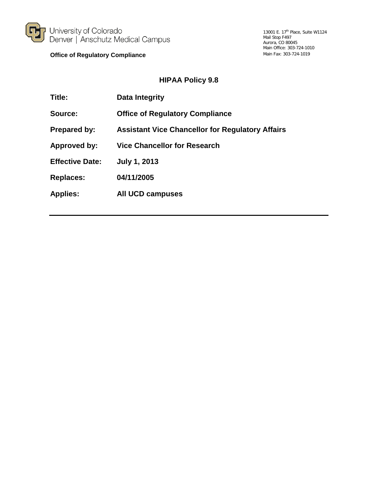

**Office of Regulatory Compliance**

### **HIPAA Policy 9.8**

| Title:                 | Data Integrity                                          |
|------------------------|---------------------------------------------------------|
| Source:                | <b>Office of Regulatory Compliance</b>                  |
| Prepared by:           | <b>Assistant Vice Chancellor for Regulatory Affairs</b> |
| <b>Approved by:</b>    | <b>Vice Chancellor for Research</b>                     |
| <b>Effective Date:</b> | <b>July 1, 2013</b>                                     |
| <b>Replaces:</b>       | 04/11/2005                                              |
| <b>Applies:</b>        | All UCD campuses                                        |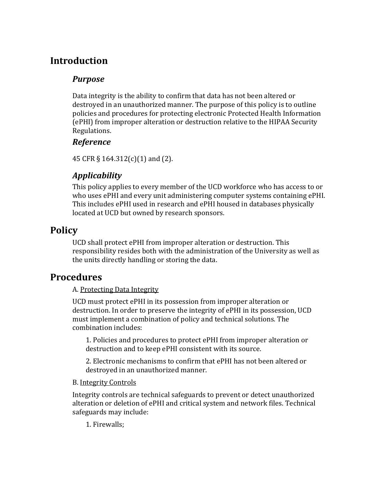# **Introduction**

## *Purpose*

Data integrity is the ability to confirm that data has not been altered or destroyed in an unauthorized manner. The purpose of this policy is to outline policies and procedures for protecting electronic Protected Health Information (ePHI) from improper alteration or destruction relative to the HIPAA Security Regulations.

## *Reference*

45 CFR § 164.312(c)(1) and (2).

## *Applicability*

This policy applies to every member of the UCD workforce who has access to or who uses ePHI and every unit administering computer systems containing ePHI. This includes ePHI used in research and ePHI housed in databases physically located at UCD but owned by research sponsors.

# **Policy**

UCD shall protect ePHI from improper alteration or destruction. This responsibility resides both with the administration of the University as well as the units directly handling or storing the data.

# **Procedures**

### A. Protecting Data Integrity

UCD must protect ePHI in its possession from improper alteration or destruction. In order to preserve the integrity of ePHI in its possession, UCD must implement a combination of policy and technical solutions. The combination includes:

1. Policies and procedures to protect ePHI from improper alteration or destruction and to keep ePHI consistent with its source.

2. Electronic mechanisms to confirm that ePHI has not been altered or destroyed in an unauthorized manner.

### B. Integrity Controls

Integrity controls are technical safeguards to prevent or detect unauthorized alteration or deletion of ePHI and critical system and network files. Technical safeguards may include:

1. Firewalls;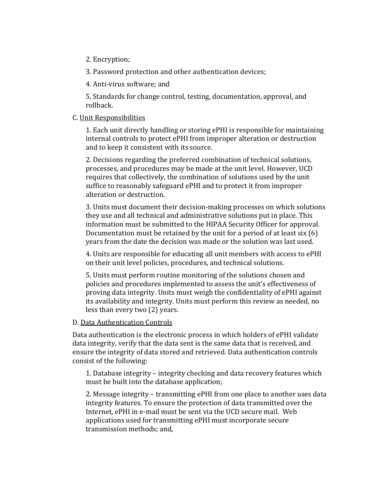2. Encryption;

3. Password protection and other authentication devices;

4. Anti-virus software; and

5. Standards for change control, testing, documentation, approval, and rollback.

### C. Unit Responsibilities

1. Each unit directly handling or storing ePHI is responsible for maintaining internal controls to protect ePHI from improper alteration or destruction and to keep it consistent with its source.

2. Decisions regarding the preferred combination of technical solutions, processes, and procedures may be made at the unit level. However, UCD requires that collectively, the combination of solutions used by the unit suffice to reasonably safeguard ePHI and to protect it from improper alteration or destruction.

3. Units must document their decision-making processes on which solutions they use and all technical and administrative solutions put in place. This information must be submitted to the HIPAA Security Officer for approval. Documentation must be retained by the unit for a period of at least six (6) years from the date the decision was made or the solution was last used.

4. Units are responsible for educating all unit members with access to ePHI on their unit level policies, procedures, and technical solutions.

5. Units must perform routine monitoring of the solutions chosen and policies and procedures implemented to assess the unit's effectiveness of proving data integrity. Units must weigh the confidentiality of ePHI against its availability and integrity. Units must perform this review as needed, no less than every two (2) years.

### D. Data Authentication Controls

Data authentication is the electronic process in which holders of ePHI validate data integrity, verify that the data sent is the same data that is received, and ensure the integrity of data stored and retrieved. Data authentication controls consist of the following:

1. Database integrity – integrity checking and data recovery features which must be built into the database application;

2. Message integrity – transmitting ePHI from one place to another uses data integrity features. To ensure the protection of data transmitted over the Internet, ePHI in e-mail must be sent via the UCD secure mail. Web applications used for transmitting ePHI must incorporate secure transmission methods; and,